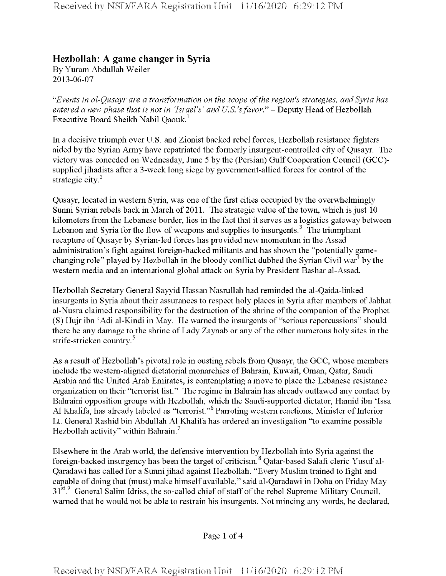## **Hezbollah: A game changer in Syria**

By Yuram Abdullah Weiler 2013-06-07

*"Events in al-Qusayr are a transformation on the scope ofthe region's strategies, and Syria has entered a new phase that is not in 'Israel's' and U.S.'s favor." - Deputy Head of Hezbollah* Executive Board Sheikh Nabil Qaouk.<sup>1</sup>

In a decisive triumph over U.S. and Zionist backed rebel forces, Hezbollah resistance fighters aided by the Syrian Army have repatriated the formerly insurgent-controlled city of Qusayr. The victory was conceded on Wednesday, June 5 by the (Persian) GulfCooperation Council (GCC) supplied jihadists after a 3-week long siege by government-allied forces for control of the strategic city. $2$ 

Qusayr, located in western Syria, was one of the first cities occupied by the overwhelmingly Sunni Syrian rebels back in March of 2011. The strategic value of the town, which is just 10 kilometers from the Lebanese border, lies in the fact that it serves as a logistics gateway between Lebanon and Syria for the flow of weapons and supplies to insurgents.<sup>3</sup> The triumphant recapture of Qusayr by Syrian-led forces has provided new momentum in the Assad administration's fight against foreign-backed militants and has shown the "potentially gamechanging role" played by Hezbollah in the bloody conflict dubbed the Syrian Civil war<sup>4</sup> by the western media and an international global attack on Syria by President Bashar al-Assad.

Hezbollah Secretary General Sayyid Hassan Nasrullah had reminded the al-Qaida-linked insurgents in Syria about their assurances to respect holy places in Syria after members of Jabhat al-Nusra claimed responsibility for the destruction of the shrine of the companion of the Prophet (S) Hujr ibn 'Adi al-Kindi in May. He warned the insurgents of "serious repercussions" should there be any damage to the shrine of Lady Zaynab or any of the other numerous holy sites in the strife-stricken country.<sup>5</sup>

As a result of Hezbollah's pivotal role in ousting rebels from Qusayr, the GCC, whose members include the western-aligned dictatorial monarchies of Bahrain, Kuwait, Oman, Qatar, Saudi Arabia and the United Arab Emirates, is contemplating a move to place the Lebanese resistance organization on their "terrorist list." The regime in Bahrain has already outlawed any contact by Bahraini opposition groups with Hezbollah, which the Saudi-supported dictator, Hamid ibn 'Issa Al Khalifa, has already labeled as "terrorist."<sup>6</sup> Parroting western reactions, Minister of Interior Lt. General Rashid bin Abdullah A1 Khalifa has ordered an investigation "to examine possible Hezbollah activity" within Bahrain.<sup>7</sup>

Elsewhere in the Arab world, the defensive intervention by Hezbollah into Syria against the foreign-backed insurgency has been the target of criticism. <sup>8</sup> Qatar-based Salafi cleric Yusuf al-Qaradawi has called for a Sunni jihad against Hezbollah. "Every Muslim trained to fight and capable of doing that (must) make himself available," said al-Qaradawi in Doha on Friday May 31<sup>st.9</sup> General Salim Idriss, the so-called chief of staff of the rebel Supreme Military Council, warned that he would not be able to restrain his insurgents. Not mincing any words, he declared,

Page <sup>1</sup> of 4

Received by NSD/FARA Registration Unit 11/16/2020 6:29:12 PM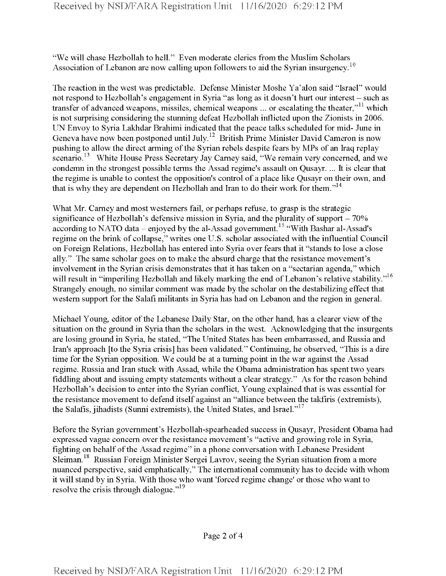"We will chase Hezbollah to hell." Even moderate clerics from the Muslim Scholars Association of Lebanon are now calling upon followers to aid the Syrian insurgency.<sup>10</sup>

The reaction in the west was predictable. Defense Minister Moshe Ya'alon said "Israel" would not respond to Hezbollah's engagement in Syria "as long as it doesn't hurt our interest – such as transfer of advanced weapons, missiles, chemical weapons ... or escalating the theater,"<sup>11</sup> which is not surprising considering the stunning defeat Hezbollah inflicted upon the Zionists in 2006. UN Envoy to Syria Lakhdar Brahimi indicated that the peace talks scheduled for mid- June in Geneva have now been postponed until July.<sup>12</sup> British Prime Minister David Cameron is now pushing to allow the direct arming of the Syrian rebels despite fears by MPs of an Iraq replay scenario.<sup>13</sup> White House Press Secretary Jay Carney said, "We remain very concerned, and we condemn in the strongest possible terms the Assad regime's assault on Qusayr. ... It is clear that the regime is unable to contest the opposition's control of a place like Qusayr on their own, and that is why they are dependent on Hezbollah and Iran to do their work for them."<sup>14</sup>

What Mr. Carney and most westerners fail, or perhaps refuse, to grasp is the strategic significance of Hezbollah's defensive mission in Syria, and the plurality of support  $-70\%$ according to NATO data – enjoyed by the al-Assad government.<sup>15</sup> "With Bashar al-Assad's regime on the brink of collapse," writes one U.S. scholar associated with the influential Council on Foreign Relations, Hezbollah has entered into Syria over fears that it "stands to lose a close ally." The same scholar goes on to make the absurd charge that the resistance movement's involvement in the Syrian crisis demonstrates that it has taken on a "sectarian agenda," which will result in "imperiling Hezbollah and likely marking the end of Lebanon's relative stability."<sup>16</sup> Strangely enough, no similar comment was made by the scholar on the destabilizing effect that western support for the Salafi militants in Syria has had on Lebanon and the region in general.

Michael Young, editor of the Lebanese Daily Star, on the other hand, has a clearer view of the situation on the ground in Syria than the scholars in the west. Acknowledging that the insurgents are losing ground in Syria, he stated, "The United States has been embarrassed, and Russia and Iran's approach [to the Syria crisis] has been validated." Continuing, he observed, "This is a dire time for the Syrian opposition. We could be at a turning point in the war against the Assad regime. Russia and Iran stuck with Assad, while the Obama administration has spent two years fiddling about and issuing empty statements without a clear strategy." As for the reason behind Hezbollah's decision to enter into the Syrian conflict, Young explained that is was essential for the resistance movement to defend itself against an "alliance between the takfiris (extremists), the Salafis, jihadists (Sunni extremists), the United States, and Israel."<sup>17</sup>

Before the Syrian government's Hezbollah-spearheaded success in Qusayr, President Obama had expressed vague concern over the resistance movement's "active and growing role in Syria, fighting on behalf ofthe Assad regime" in a phone conversation with Lebanese President Sleiman.<sup>18</sup> Russian Foreign Minister Sergei Lavrov, seeing the Syrian situation from a more nuanced perspective, said emphatically," The international community has to decide with whom it will stand by in Syria. With those who want 'forced regime change' or those who want to resolve the crisis through dialogue."<sup>19</sup>

Page 2 of 4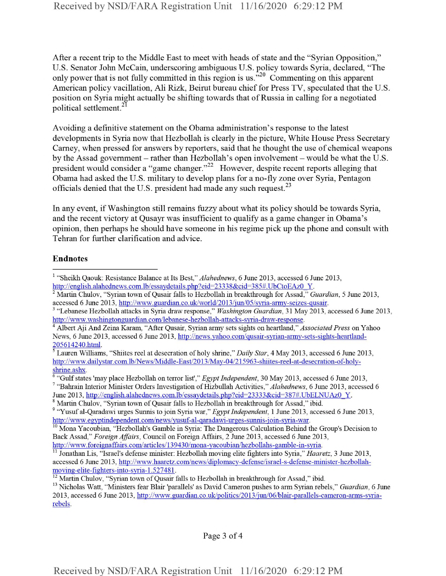After a recent trip to the Middle East to meet with heads of state and the "Syrian Opposition," U.S. Senator John McCain, underscoring ambiguous U.S. policy towards Syria, declared, "The only power that is not fully committed in this region is us.<sup>320</sup> Commenting on this apparent American policy vacillation, Ali Rizk, Beirut bureau chief for Press TV, speculated that the U.S. position on Syria might actually be shifting towards that of Russia in calling for a negotiated political settlement.<sup>21</sup>

Avoiding a definitive statement on the Obama administration's response to the latest developments in Syria now that Hezbollah is clearly in the picture, White House Press Secretary Carney, when pressed for answers by reporters, said that he thought the use of chemical weapons by the Assad government - rather than Hezbollah's open involvement - would be what the U.S. president would consider a "game changer."<sup>22</sup> However, despite recent reports alleging that Obama had asked the U.S. military to develop plans for a no-fly zone over Syria, Pentagon officials denied that the U.S. president had made any such request.<sup>23</sup>

In any event, if Washington still remains fuzzy about what its policy should be towards Syria, and the recent victory at Qusayr was insufficient to qualify as a game changer in Obama's opinion, then perhaps he should have someone in his regime pick up the phone and consult with Tehran for further clarification and advice.

## **Endnotes**

<sup>1</sup> "Sheikh Qaouk: Resistance Balance at Its Best," *Alahednews*, 6 June 2013, accessed 6 June 2013, http://english.alahednews.com.lb/essaydetails.php?eid=23338&cid=385#.UbCtoEAz0\_Y.

<sup>&</sup>lt;sup>2</sup> Martin Chulov, "Syrian town of Qusair falls to Hezbollah in breakthrough for Assad," *Guardian*, 5 June 2013, accessed 6 June 2013, http://www.guardian.co.uk/world/2013/jun/05/syria-army-seizes-qusair.

<sup>3</sup> "Lebanese Hezbollah attacks in Syria draw response," *Washington Guardian,* 31 May 2013, accessed 6 June 2013, http://www.washingtonguardian.com/lebanese-hezbollah-attacks-svria-draw-response.

<sup>4</sup> Albert Aji And Zeina Karam, "After Qusair, Syrian army sets sights on heartland," *Associated Press* on Yahoo News, 6 June 2013, accessed 6 June 2013, http://news.vahoo.com/qusair-svrian-armv-sets-sights-heartland-205614240.html.

<sup>5</sup> Lauren Williams, "Shiites reel at desecration ofholy shrine," *Daily Star,* 4 May 2013, accessed 6 June 2013, http://www.dailystar.com.lb/News/Middle-East/2013/May-04/215963-shiites-reel-at-desecration-of-holyshrine.ashx.

<sup>6</sup> "Gulfstates 'may place Hezbollah on terror list'," *Egypt Independent,* 30 May 2013, accessed 6 June 2013, <sup>7</sup> "Bahrain Interior Minister Orders Investigation of Hizbullah Activities," Alahednews, 6 June 2013, accessed 6

June 2013, http://english.alahednews.com.lb/essaydetails.php?eid=23333&cid=387#.UbELNUAz0 Y.

<sup>&</sup>lt;sup>8</sup> Martin Chulov, "Syrian town of Qusair falls to Hezbollah in breakthrough for Assad," ibid.

<sup>&</sup>lt;sup>9</sup> "Yusuf al-Qaradawi urges Sunnis to join Syria war," *Egypt Independent*, 1 June 2013, accessed 6 June 2013, http://www.egyptindependent.com/news/yusuf-al-qaradawi-urges-sunnis-join-syria-war.

 $10$  Mona Yacoubian, "Hezbollah's Gamble in Syria: The Dangerous Calculation Behind the Group's Decision to Back Assad," *Foreign Affairs,* Council on Eoreign Affairs, 2 June 2013, accessed 6 June 2013, http://www.foreignaffairs.com/articles/139430/mona-vacoubian/hezbollahs-gamble-in-svria.

<sup>11</sup> Jonathan Lis, "Israel's defense minister: Hezbollah moving elite fighters into Syria," *Haaretz,* 3 June 2013, accessed 6 June 2013, http://www.haaretz.com/news/diplomacv-defense/israel-s-defense-minister-hezbollahmoving-elite-fighters-into-syria-1.527481.

 $12$  Martin Chulov, "Syrian town of Qusair falls to Hezbollah in breakthrough for Assad," ibid.

<sup>&</sup>lt;sup>13</sup> Nicholas Watt, "Ministers fear Blair 'parallels' as David Cameron pushes to arm Syrian rebels," *Guardian*, 6 June 2013, accessed 6 June 2013, http://www.guardian.co.uk/politics/2013/iun/06/blair-parallels-cameron-arms-syriarebels.